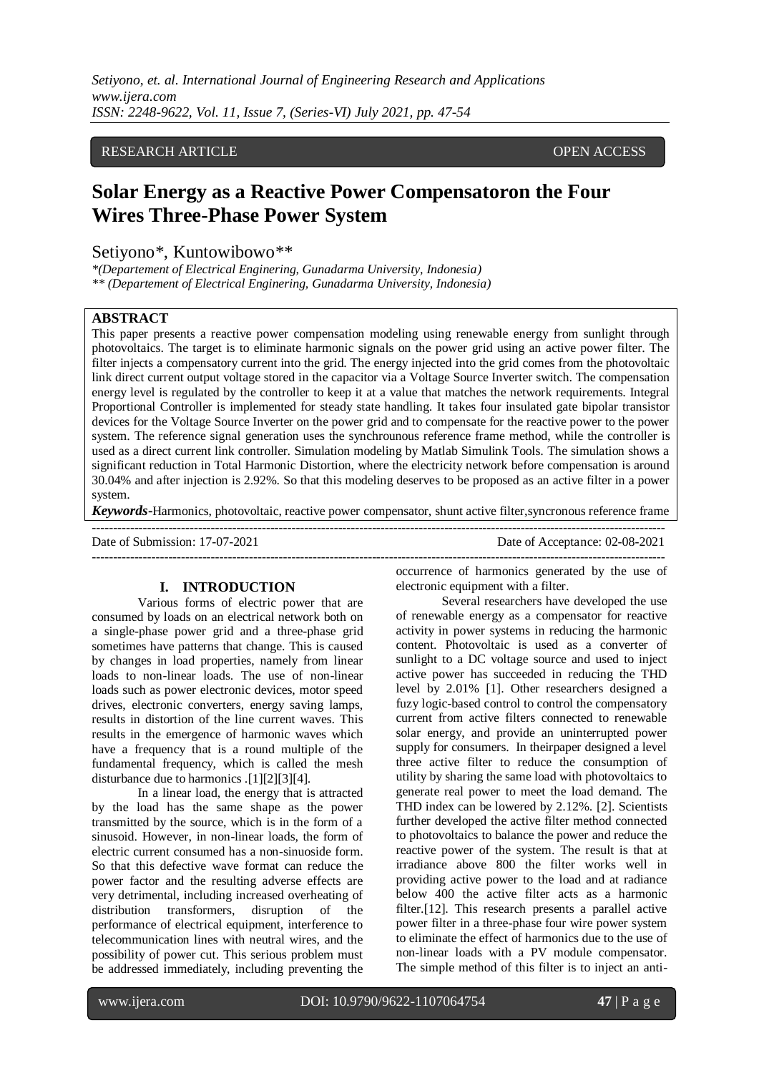*Setiyono, et. al. International Journal of Engineering Research and Applications www.ijera.com ISSN: 2248-9622, Vol. 11, Issue 7, (Series-VI) July 2021, pp. 47-54*

# RESEARCH ARTICLE **CONSERVERS** OPEN ACCESS

# **Solar Energy as a Reactive Power Compensatoron the Four Wires Three-Phase Power System**

# Setiyono\*, Kuntowibowo\*\*

*\*(Departement of Electrical Enginering, Gunadarma University, Indonesia) \*\* (Departement of Electrical Enginering, Gunadarma University, Indonesia)*

# **ABSTRACT**

This paper presents a reactive power compensation modeling using renewable energy from sunlight through photovoltaics. The target is to eliminate harmonic signals on the power grid using an active power filter. The filter injects a compensatory current into the grid. The energy injected into the grid comes from the photovoltaic link direct current output voltage stored in the capacitor via a Voltage Source Inverter switch. The compensation energy level is regulated by the controller to keep it at a value that matches the network requirements. Integral Proportional Controller is implemented for steady state handling. It takes four insulated gate bipolar transistor devices for the Voltage Source Inverter on the power grid and to compensate for the reactive power to the power system. The reference signal generation uses the synchrounous reference frame method, while the controller is used as a direct current link controller. Simulation modeling by Matlab Simulink Tools. The simulation shows a significant reduction in Total Harmonic Distortion, where the electricity network before compensation is around 30.04% and after injection is 2.92%. So that this modeling deserves to be proposed as an active filter in a power system.

*Keywords***-**Harmonics, photovoltaic, reactive power compensator, shunt active filter,syncronous reference frame ---------------------------------------------------------------------------------------------------------------------------------------

---------------------------------------------------------------------------------------------------------------------------------------

Date of Submission: 17-07-2021 Date of Acceptance: 02-08-2021

#### **I. INTRODUCTION**

Various forms of electric power that are consumed by loads on an electrical network both on a single-phase power grid and a three-phase grid sometimes have patterns that change. This is caused by changes in load properties, namely from linear loads to non-linear loads. The use of non-linear loads such as power electronic devices, motor speed drives, electronic converters, energy saving lamps, results in distortion of the line current waves. This results in the emergence of harmonic waves which have a frequency that is a round multiple of the fundamental frequency, which is called the mesh disturbance due to harmonics .[1][2][3][4].

In a linear load, the energy that is attracted by the load has the same shape as the power transmitted by the source, which is in the form of a sinusoid. However, in non-linear loads, the form of electric current consumed has a non-sinuoside form. So that this defective wave format can reduce the power factor and the resulting adverse effects are very detrimental, including increased overheating of distribution transformers, disruption of the performance of electrical equipment, interference to telecommunication lines with neutral wires, and the possibility of power cut. This serious problem must be addressed immediately, including preventing the

occurrence of harmonics generated by the use of electronic equipment with a filter.

Several researchers have developed the use of renewable energy as a compensator for reactive activity in power systems in reducing the harmonic content. Photovoltaic is used as a converter of sunlight to a DC voltage source and used to inject active power has succeeded in reducing the THD level by 2.01% [1]. Other researchers designed a fuzy logic-based control to control the compensatory current from active filters connected to renewable solar energy, and provide an uninterrupted power supply for consumers. In theirpaper designed a level three active filter to reduce the consumption of utility by sharing the same load with photovoltaics to generate real power to meet the load demand. The THD index can be lowered by 2.12%. [2]. Scientists further developed the active filter method connected to photovoltaics to balance the power and reduce the reactive power of the system. The result is that at irradiance above 800 the filter works well in providing active power to the load and at radiance below 400 the active filter acts as a harmonic filter.[12]. This research presents a parallel active power filter in a three-phase four wire power system to eliminate the effect of harmonics due to the use of non-linear loads with a PV module compensator. The simple method of this filter is to inject an anti-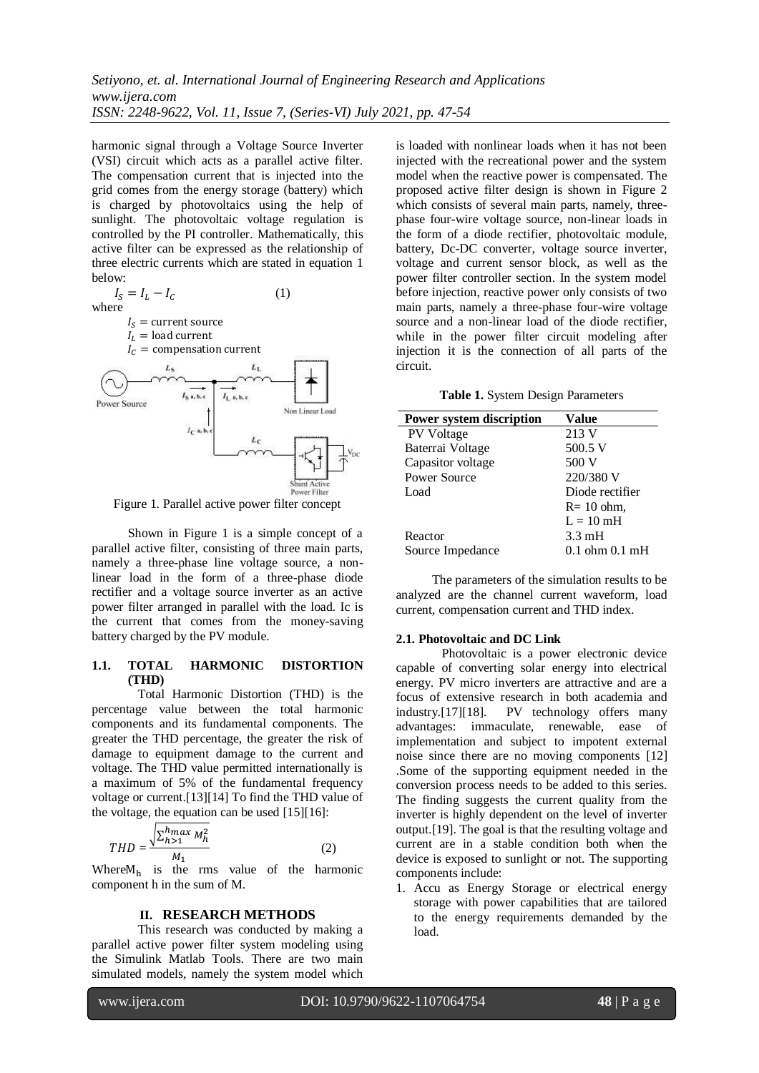harmonic signal through a Voltage Source Inverter (VSI) circuit which acts as a parallel active filter. The compensation current that is injected into the grid comes from the energy storage (battery) which is charged by photovoltaics using the help of sunlight. The photovoltaic voltage regulation is controlled by the PI controller. Mathematically, this active filter can be expressed as the relationship of three electric currents which are stated in equation 1 below:



Figure 1. Parallel active power filter concept

Shown in Figure 1 is a simple concept of a parallel active filter, consisting of three main parts, namely a three-phase line voltage source, a nonlinear load in the form of a three-phase diode rectifier and a voltage source inverter as an active power filter arranged in parallel with the load. Ic is the current that comes from the money-saving battery charged by the PV module.

# **1.1. TOTAL HARMONIC DISTORTION (THD)**

Total Harmonic Distortion (THD) is the percentage value between the total harmonic components and its fundamental components. The greater the THD percentage, the greater the risk of damage to equipment damage to the current and voltage. The THD value permitted internationally is a maximum of 5% of the fundamental frequency voltage or current.[13][14] To find the THD value of the voltage, the equation can be used  $[15][16]$ :

$$
THD = \frac{\sqrt{\sum_{h>1}^{h} M_h^2}}{M_1}
$$
 (2)

Where  $M_h$  is the rms value of the harmonic component h in the sum of M.

# **II. RESEARCH METHODS**

This research was conducted by making a parallel active power filter system modeling using the Simulink Matlab Tools. There are two main simulated models, namely the system model which

is loaded with nonlinear loads when it has not been injected with the recreational power and the system model when the reactive power is compensated. The proposed active filter design is shown in Figure 2 which consists of several main parts, namely, threephase four-wire voltage source, non-linear loads in the form of a diode rectifier, photovoltaic module, battery, Dc-DC converter, voltage source inverter, voltage and current sensor block, as well as the power filter controller section. In the system model before injection, reactive power only consists of two main parts, namely a three-phase four-wire voltage source and a non-linear load of the diode rectifier, while in the power filter circuit modeling after injection it is the connection of all parts of the circuit.

**Table 1.** System Design Parameters

| <b>Power system discription</b> | Value               |
|---------------------------------|---------------------|
| PV Voltage                      | 213 V               |
| Baterrai Voltage                | $500.5$ V           |
| Capasitor voltage               | 500 V               |
| Power Source                    | 220/380 V           |
| Load                            | Diode rectifier     |
|                                 | $R = 10$ ohm,       |
|                                 | $L = 10 \text{ mH}$ |
| Reactor                         | $3.3 \text{ mH}$    |
| Source Impedance                | $0.1$ ohm $0.1$ mH  |

The parameters of the simulation results to be analyzed are the channel current waveform, load current, compensation current and THD index.

#### **2.1. Photovoltaic and DC Link**

Photovoltaic is a power electronic device capable of converting solar energy into electrical energy. PV micro inverters are attractive and are a focus of extensive research in both academia and industry.[17][18]. PV technology offers many advantages: immaculate, renewable, ease of implementation and subject to impotent external noise since there are no moving components [12] .Some of the supporting equipment needed in the conversion process needs to be added to this series. The finding suggests the current quality from the inverter is highly dependent on the level of inverter output.[19]. The goal is that the resulting voltage and current are in a stable condition both when the device is exposed to sunlight or not. The supporting components include:

1. Accu as Energy Storage or electrical energy storage with power capabilities that are tailored to the energy requirements demanded by the load.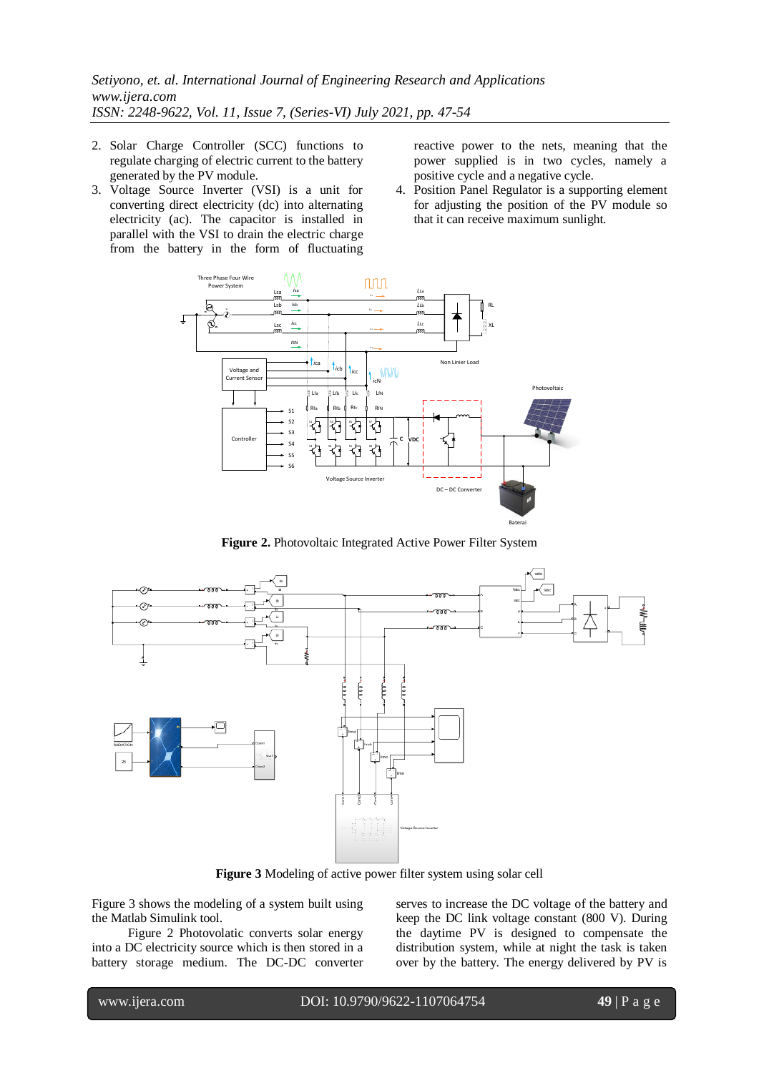- 2. Solar Charge Controller (SCC) functions to regulate charging of electric current to the battery generated by the PV module.
- 3. Voltage Source Inverter (VSI) is a unit for converting direct electricity (dc) into alternating electricity (ac). The capacitor is installed in parallel with the VSI to drain the electric charge from the battery in the form of fluctuating

reactive power to the nets, meaning that the power supplied is in two cycles, namely a positive cycle and a negative cycle.

4. Position Panel Regulator is a supporting element for adjusting the position of the PV module so that it can receive maximum sunlight.



**Figure 2.** Photovoltaic Integrated Active Power Filter System



**Figure 3** Modeling of active power filter system using solar cell

Figure 3 shows the modeling of a system built using the Matlab Simulink tool.

Figure 2 Photovolatic converts solar energy into a DC electricity source which is then stored in a battery storage medium. The DC-DC converter

serves to increase the DC voltage of the battery and keep the DC link voltage constant (800 V). During the daytime PV is designed to compensate the distribution system, while at night the task is taken over by the battery. The energy delivered by PV is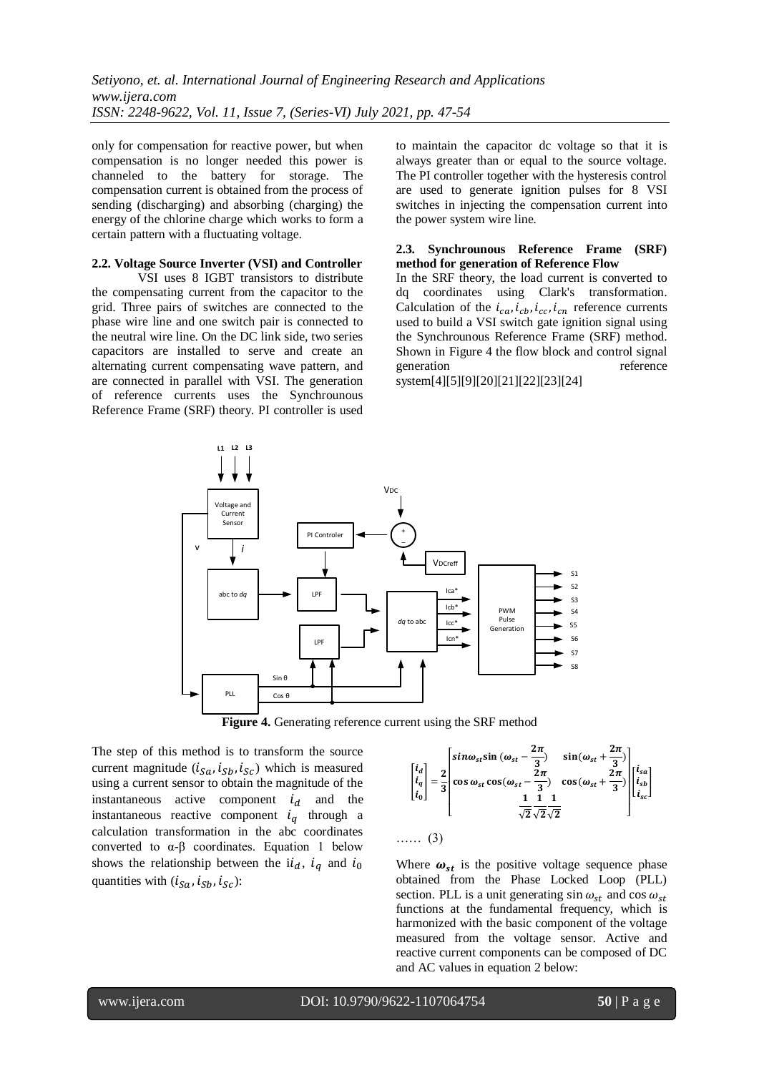only for compensation for reactive power, but when compensation is no longer needed this power is channeled to the battery for storage. The compensation current is obtained from the process of sending (discharging) and absorbing (charging) the energy of the chlorine charge which works to form a certain pattern with a fluctuating voltage.

## **2.2. Voltage Source Inverter (VSI) and Controller**

VSI uses 8 IGBT transistors to distribute the compensating current from the capacitor to the grid. Three pairs of switches are connected to the phase wire line and one switch pair is connected to the neutral wire line. On the DC link side, two series capacitors are installed to serve and create an alternating current compensating wave pattern, and are connected in parallel with VSI. The generation of reference currents uses the Synchrounous Reference Frame (SRF) theory. PI controller is used to maintain the capacitor dc voltage so that it is always greater than or equal to the source voltage. The PI controller together with the hysteresis control are used to generate ignition pulses for 8 VSI switches in injecting the compensation current into the power system wire line.

# **2.3. Synchrounous Reference Frame (SRF) method for generation of Reference Flow**

In the SRF theory, the load current is converted to dq coordinates using Clark's transformation. Calculation of the  $i_{ca}$ ,  $i_{cb}$ ,  $i_{cc}$ ,  $i_{cn}$  reference currents used to build a VSI switch gate ignition signal using the Synchrounous Reference Frame (SRF) method. Shown in Figure 4 the flow block and control signal generation reference system[4][5][9][20][21][22][23][24]

abc to *dq* LPF LPF *dq* to ab **PWM** Pulse Generation PI Controle  $\overline{a}$ Voltage and Current Sensor PLL V<sub>D</sub> S1 S2 S3  $\overline{\mathbf{S}}$  $S<sub>5</sub>$ S6 **VDCreff** *i* Sin θ Cos θ v **L1 L2 L3**  $\overline{\mathcal{S}}$ S8 Ica\* Icb\* Icc\* Icn\*



The step of this method is to transform the source current magnitude  $(i_{sa}, i_{Sh}, i_{Sc})$  which is measured using a current sensor to obtain the magnitude of the instantaneous active component  $i_d$  and the instantaneous reactive component  $i_q$  through a calculation transformation in the abc coordinates converted to  $\alpha$ - $\beta$  coordinates. Equation 1 below shows the relationship between the  $i \dot{a}$ ,  $i_{q}$  and  $i_{0}$ quantities with  $(i_{Sa}, i_{Sb}, i_{Sc})$ :

$$
\begin{bmatrix} i_d \\ i_q \\ i_0 \end{bmatrix} = \frac{2}{3} \begin{bmatrix} \sin \omega_{st} \sin \left( \omega_{st} - \frac{2\pi}{3} \right) & \sin \left( \omega_{st} + \frac{2\pi}{3} \right) \\ \cos \omega_{st} \cos \left( \omega_{st} - \frac{2\pi}{3} \right) & \cos \left( \omega_{st} + \frac{2\pi}{3} \right) \\ \frac{1}{\sqrt{2}} \frac{1}{\sqrt{2}} \frac{1}{\sqrt{2}} & \cos \left( \omega_{st} + \frac{2\pi}{3} \right) \end{bmatrix} \begin{bmatrix} i_{sa} \\ i_{sb} \\ i_{sc} \end{bmatrix}
$$

…… (3)

Where  $\omega_{st}$  is the positive voltage sequence phase obtained from the Phase Locked Loop (PLL) section. PLL is a unit generating  $\sin \omega_{st}$  and  $\cos \omega_{st}$ functions at the fundamental frequency, which is harmonized with the basic component of the voltage measured from the voltage sensor. Active and reactive current components can be composed of DC and AC values in equation 2 below: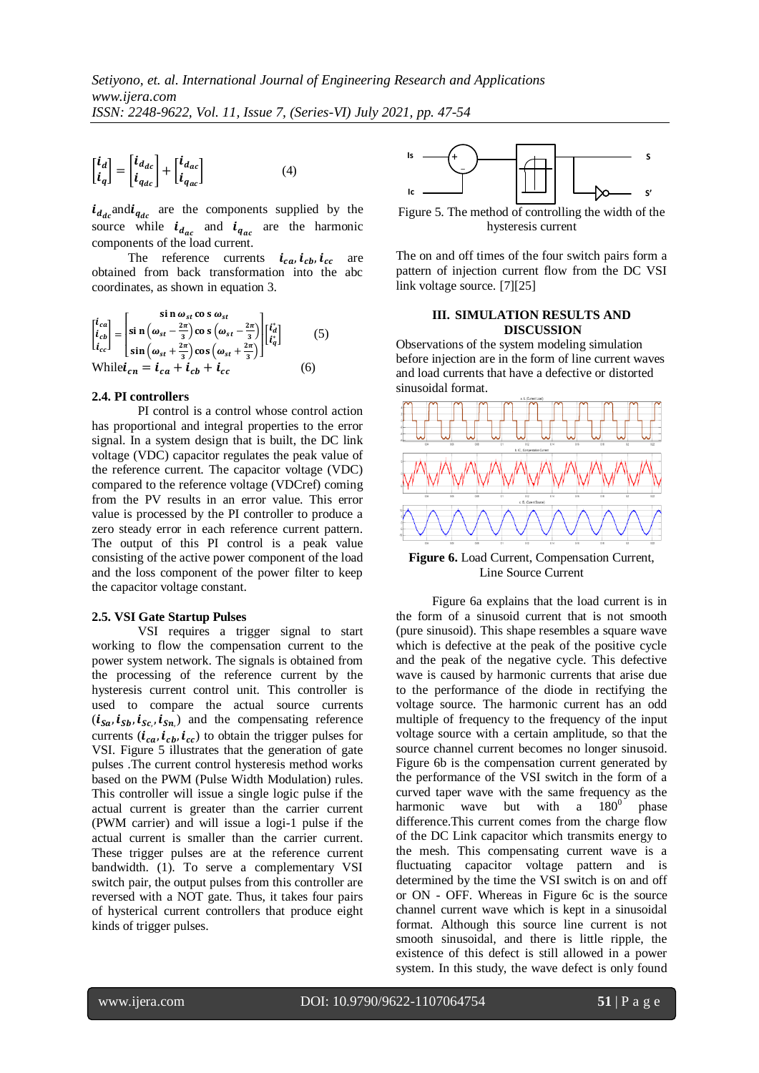(4)

$$
\begin{bmatrix} \boldsymbol{i}_d \\ \boldsymbol{i}_q \end{bmatrix} = \begin{bmatrix} \boldsymbol{i}_{d_{dc}} \\ \boldsymbol{i}_{q_{dc}} \end{bmatrix} + \begin{bmatrix} \boldsymbol{i}_{d_{ac}} \\ \boldsymbol{i}_{q_{ac}} \end{bmatrix}
$$

 $i_{d_{dc}}$  and  $i_{q_{dc}}$  are the components supplied by the source while  $i_{d_{\text{max}}}$  and  $i_{g_{\text{max}}}$  are the harmonic components of the load current.

The reference currents  $i_{ca}$ ,  $i_{cb}$ ,  $i_{cc}$  are obtained from back transformation into the abc coordinates, as shown in equation 3.

$$
\begin{bmatrix} i_{ca} \\ i_{cb} \\ i_{cc} \end{bmatrix} = \begin{bmatrix} \sin \omega_{st} \cos \omega_{st} \\ \sin \left(\omega_{st} - \frac{2\pi}{3}\right) \cos \left(\omega_{st} - \frac{2\pi}{3}\right) \\ \sin \left(\omega_{st} + \frac{2\pi}{3}\right) \cos \left(\omega_{st} + \frac{2\pi}{3}\right) \end{bmatrix} \begin{bmatrix} i_d^* \\ i_q^* \end{bmatrix}
$$
 (5)  
While  $i_{cn} = i_{ca} + i_{cb} + i_{cc}$  (6)

#### **2.4. PI controllers**

PI control is a control whose control action has proportional and integral properties to the error signal. In a system design that is built, the DC link voltage (VDC) capacitor regulates the peak value of the reference current. The capacitor voltage (VDC) compared to the reference voltage (VDCref) coming from the PV results in an error value. This error value is processed by the PI controller to produce a zero steady error in each reference current pattern. The output of this PI control is a peak value consisting of the active power component of the load and the loss component of the power filter to keep the capacitor voltage constant.

#### **2.5. VSI Gate Startup Pulses**

VSI requires a trigger signal to start working to flow the compensation current to the power system network. The signals is obtained from the processing of the reference current by the hysteresis current control unit. This controller is used to compare the actual source currents  $(i_{\text{S}a}, i_{\text{S}b}, i_{\text{S}c}, i_{\text{S}n})$  and the compensating reference currents  $(i_{ca}, i_{ch}, i_{cc})$  to obtain the trigger pulses for VSI. Figure 5 illustrates that the generation of gate pulses .The current control hysteresis method works based on the PWM (Pulse Width Modulation) rules. This controller will issue a single logic pulse if the actual current is greater than the carrier current (PWM carrier) and will issue a logi-1 pulse if the actual current is smaller than the carrier current. These trigger pulses are at the reference current bandwidth. (1). To serve a complementary VSI switch pair, the output pulses from this controller are reversed with a NOT gate. Thus, it takes four pairs of hysterical current controllers that produce eight kinds of trigger pulses.



Figure 5. The method of controlling the width of the hysteresis current

The on and off times of the four switch pairs form a pattern of injection current flow from the DC VSI link voltage source. [7][25]

# **III. SIMULATION RESULTS AND DISCUSSION**

Observations of the system modeling simulation before injection are in the form of line current waves and load currents that have a defective or distorted sinusoidal format.



**Figure 6.** Load Current, Compensation Current, Line Source Current

Figure 6a explains that the load current is in the form of a sinusoid current that is not smooth (pure sinusoid). This shape resembles a square wave which is defective at the peak of the positive cycle and the peak of the negative cycle. This defective wave is caused by harmonic currents that arise due to the performance of the diode in rectifying the voltage source. The harmonic current has an odd multiple of frequency to the frequency of the input voltage source with a certain amplitude, so that the source channel current becomes no longer sinusoid. Figure 6b is the compensation current generated by the performance of the VSI switch in the form of a curved taper wave with the same frequency as the harmonic wave but with a  $180^\circ$ phase difference.This current comes from the charge flow of the DC Link capacitor which transmits energy to the mesh. This compensating current wave is a fluctuating capacitor voltage pattern and is determined by the time the VSI switch is on and off or ON - OFF. Whereas in Figure 6c is the source channel current wave which is kept in a sinusoidal format. Although this source line current is not smooth sinusoidal, and there is little ripple, the existence of this defect is still allowed in a power system. In this study, the wave defect is only found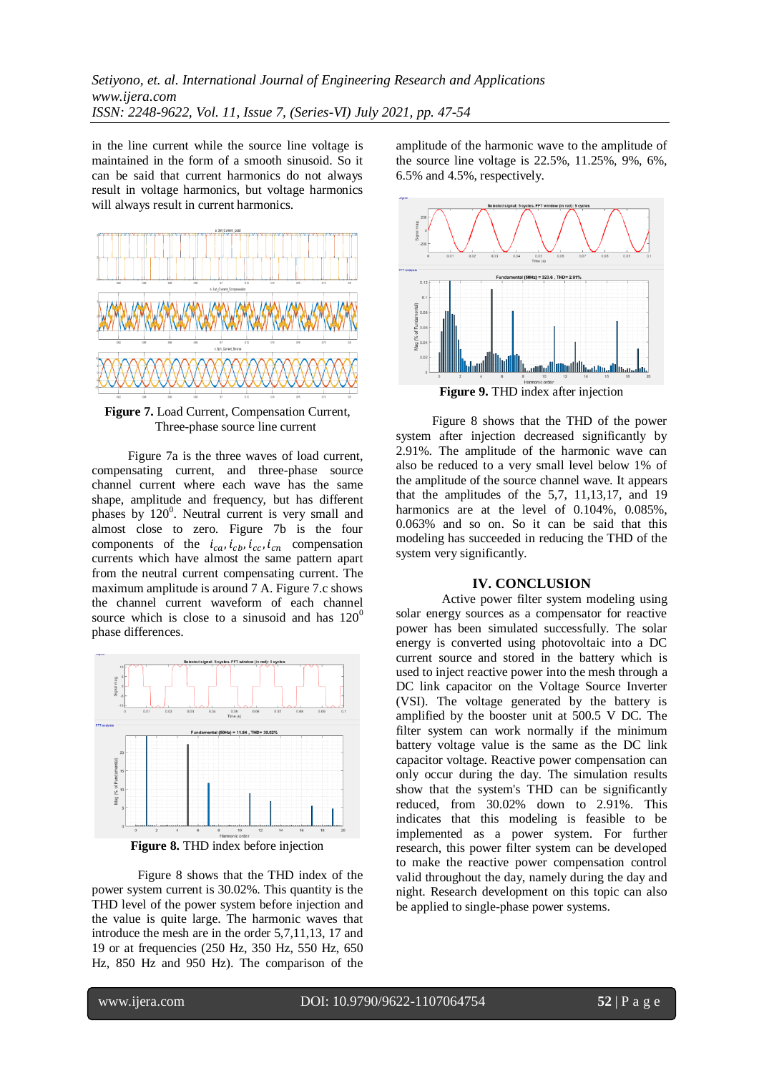in the line current while the source line voltage is maintained in the form of a smooth sinusoid. So it can be said that current harmonics do not always result in voltage harmonics, but voltage harmonics will always result in current harmonics.



**Figure 7.** Load Current, Compensation Current, Three-phase source line current

Figure 7a is the three waves of load current, compensating current, and three-phase source channel current where each wave has the same shape, amplitude and frequency, but has different phases by  $120^0$ . Neutral current is very small and almost close to zero. Figure 7b is the four components of the  $i_{ca}$ ,  $i_{cb}$ ,  $i_{cc}$ ,  $i_{cn}$  compensation currents which have almost the same pattern apart from the neutral current compensating current. The maximum amplitude is around 7 A. Figure 7.c shows the channel current waveform of each channel source which is close to a sinusoid and has  $120^{\circ}$ phase differences.



**Figure 8.** THD index before injection

Figure 8 shows that the THD index of the power system current is 30.02%. This quantity is the THD level of the power system before injection and the value is quite large. The harmonic waves that introduce the mesh are in the order 5,7,11,13, 17 and 19 or at frequencies (250 Hz, 350 Hz, 550 Hz, 650 Hz, 850 Hz and 950 Hz). The comparison of the amplitude of the harmonic wave to the amplitude of the source line voltage is 22.5%, 11.25%, 9%, 6%, 6.5% and 4.5%, respectively.



**Figure 9.** THD index after injection

Figure 8 shows that the THD of the power system after injection decreased significantly by 2.91%. The amplitude of the harmonic wave can also be reduced to a very small level below 1% of the amplitude of the source channel wave. It appears that the amplitudes of the 5,7, 11,13,17, and 19 harmonics are at the level of 0.104%, 0.085%, 0.063% and so on. So it can be said that this modeling has succeeded in reducing the THD of the system very significantly.

# **IV. CONCLUSION**

Active power filter system modeling using solar energy sources as a compensator for reactive power has been simulated successfully. The solar energy is converted using photovoltaic into a DC current source and stored in the battery which is used to inject reactive power into the mesh through a DC link capacitor on the Voltage Source Inverter (VSI). The voltage generated by the battery is amplified by the booster unit at 500.5 V DC. The filter system can work normally if the minimum battery voltage value is the same as the DC link capacitor voltage. Reactive power compensation can only occur during the day. The simulation results show that the system's THD can be significantly reduced, from 30.02% down to 2.91%. This indicates that this modeling is feasible to be implemented as a power system. For further research, this power filter system can be developed to make the reactive power compensation control valid throughout the day, namely during the day and night. Research development on this topic can also be applied to single-phase power systems.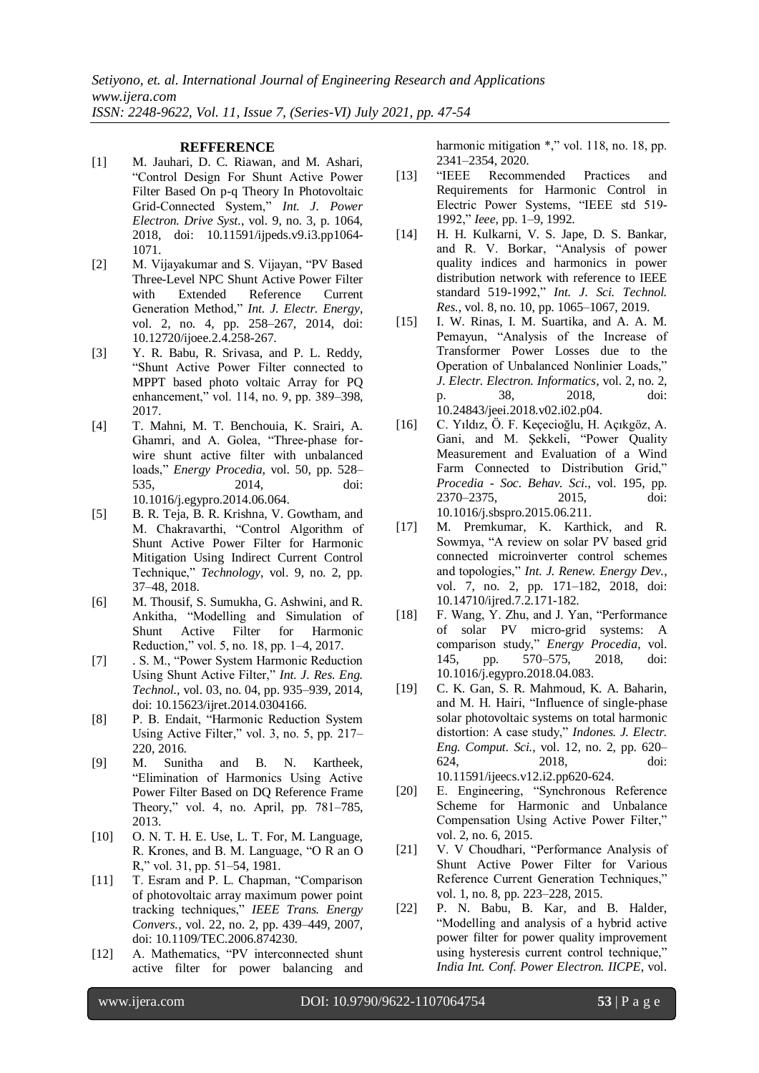## **REFFERENCE**

- [1] M. Jauhari, D. C. Riawan, and M. Ashari, "Control Design For Shunt Active Power Filter Based On p-q Theory In Photovoltaic Grid-Connected System," *Int. J. Power Electron. Drive Syst.*, vol. 9, no. 3, p. 1064, 2018, doi: 10.11591/ijpeds.v9.i3.pp1064- 1071.
- [2] M. Vijayakumar and S. Vijayan, "PV Based Three-Level NPC Shunt Active Power Filter with Extended Reference Current Generation Method," *Int. J. Electr. Energy*, vol. 2, no. 4, pp. 258–267, 2014, doi: 10.12720/ijoee.2.4.258-267.
- [3] Y. R. Babu, R. Srivasa, and P. L. Reddy, "Shunt Active Power Filter connected to MPPT based photo voltaic Array for PQ enhancement," vol. 114, no. 9, pp. 389–398, 2017.
- [4] T. Mahni, M. T. Benchouia, K. Srairi, A. Ghamri, and A. Golea, "Three-phase forwire shunt active filter with unbalanced loads," *Energy Procedia*, vol. 50, pp. 528– 535, 2014, doi: 10.1016/j.egypro.2014.06.064.
- [5] B. R. Teja, B. R. Krishna, V. Gowtham, and M. Chakravarthi, "Control Algorithm of Shunt Active Power Filter for Harmonic Mitigation Using Indirect Current Control Technique," *Technology*, vol. 9, no. 2, pp. 37–48, 2018.
- [6] M. Thousif, S. Sumukha, G. Ashwini, and R. Ankitha, "Modelling and Simulation of Shunt Active Filter for Harmonic Reduction," vol. 5, no. 18, pp. 1–4, 2017.
- [7] . S. M., "Power System Harmonic Reduction Using Shunt Active Filter," *Int. J. Res. Eng. Technol.*, vol. 03, no. 04, pp. 935–939, 2014, doi: 10.15623/ijret.2014.0304166.
- [8] P. B. Endait, "Harmonic Reduction System Using Active Filter," vol. 3, no. 5, pp. 217– 220, 2016.
- [9] M. Sunitha and B. N. Kartheek, "Elimination of Harmonics Using Active Power Filter Based on DQ Reference Frame Theory," vol. 4, no. April, pp. 781–785, 2013.
- [10] O. N. T. H. E. Use, L. T. For, M. Language, R. Krones, and B. M. Language, "O R an O R," vol. 31, pp. 51–54, 1981.
- [11] T. Esram and P. L. Chapman, "Comparison of photovoltaic array maximum power point tracking techniques," *IEEE Trans. Energy Convers.*, vol. 22, no. 2, pp. 439–449, 2007, doi: 10.1109/TEC.2006.874230.
- [12] A. Mathematics, "PV interconnected shunt active filter for power balancing and

harmonic mitigation  $\ast$ ," vol. 118, no. 18, pp. 2341–2354, 2020.

- [13] "IEEE Recommended Practices and Requirements for Harmonic Control in Electric Power Systems, "IEEE std 519- 1992," *Ieee*, pp. 1–9, 1992.
- [14] H. H. Kulkarni, V. S. Jape, D. S. Bankar, and R. V. Borkar, "Analysis of power quality indices and harmonics in power distribution network with reference to IEEE standard 519-1992," *Int. J. Sci. Technol. Res.*, vol. 8, no. 10, pp. 1065–1067, 2019.
- [15] I. W. Rinas, I. M. Suartika, and A. A. M. Pemayun, "Analysis of the Increase of Transformer Power Losses due to the Operation of Unbalanced Nonlinier Loads," *J. Electr. Electron. Informatics*, vol. 2, no. 2, p. 38, 2018, doi: 10.24843/jeei.2018.v02.i02.p04.
- [16] C. Yıldız, Ö. F. Keçecioğlu, H. Açıkgöz, A. Gani, and M. Şekkeli, "Power Quality Measurement and Evaluation of a Wind Farm Connected to Distribution Grid," *Procedia - Soc. Behav. Sci.*, vol. 195, pp. 2370–2375, 2015, doi: 10.1016/j.sbspro.2015.06.211.
- [17] M. Premkumar, K. Karthick, and R. Sowmya, "A review on solar PV based grid connected microinverter control schemes and topologies," *Int. J. Renew. Energy Dev.*, vol. 7, no. 2, pp. 171–182, 2018, doi: 10.14710/ijred.7.2.171-182.
- [18] F. Wang, Y. Zhu, and J. Yan, "Performance of solar PV micro-grid systems: A comparison study," *Energy Procedia*, vol. 145, pp. 570–575, 2018, doi: 10.1016/j.egypro.2018.04.083.
- [19] C. K. Gan, S. R. Mahmoud, K. A. Baharin, and M. H. Hairi, "Influence of single-phase solar photovoltaic systems on total harmonic distortion: A case study," *Indones. J. Electr. Eng. Comput. Sci.*, vol. 12, no. 2, pp. 620– 624, 2018, doi: 10.11591/ijeecs.v12.i2.pp620-624.
- [20] E. Engineering, "Synchronous Reference Scheme for Harmonic and Unbalance Compensation Using Active Power Filter," vol. 2, no. 6, 2015.
- [21] V. V Choudhari, "Performance Analysis of Shunt Active Power Filter for Various Reference Current Generation Techniques," vol. 1, no. 8, pp. 223–228, 2015.
- [22] P. N. Babu, B. Kar, and B. Halder, "Modelling and analysis of a hybrid active power filter for power quality improvement using hysteresis current control technique," *India Int. Conf. Power Electron. IICPE*, vol.